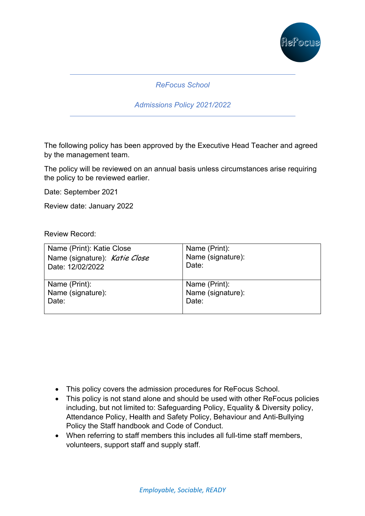

### *ReFocus School*

#### *Admissions Policy 2021/2022*

The following policy has been approved by the Executive Head Teacher and agreed by the management team.

The policy will be reviewed on an annual basis unless circumstances arise requiring the policy to be reviewed earlier.

Date: September 2021

Review date: January 2022

Review Record:

| Name (Print): Katie Close     | Name (Print):     |
|-------------------------------|-------------------|
| Name (signature): Katie Close | Name (signature): |
| Date: 12/02/2022              | Date:             |
| Name (Print):                 | Name (Print):     |
| Name (signature):             | Name (signature): |
| Date:                         | Date:             |

- This policy covers the admission procedures for ReFocus School.
- This policy is not stand alone and should be used with other ReFocus policies including, but not limited to: Safeguarding Policy, Equality & Diversity policy, Attendance Policy, Health and Safety Policy, Behaviour and Anti-Bullying Policy the Staff handbook and Code of Conduct.
- When referring to staff members this includes all full-time staff members, volunteers, support staff and supply staff.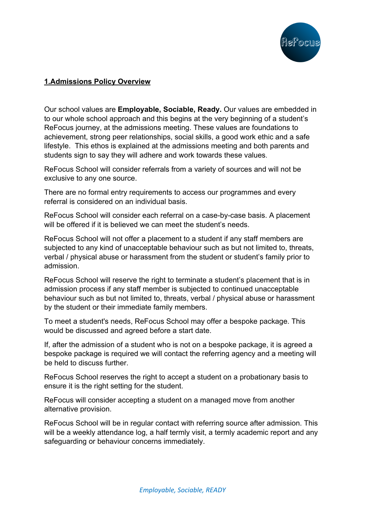

#### **1.Admissions Policy Overview**

Our school values are **Employable, Sociable, Ready.** Our values are embedded in to our whole school approach and this begins at the very beginning of a student's ReFocus journey, at the admissions meeting. These values are foundations to achievement, strong peer relationships, social skills, a good work ethic and a safe lifestyle. This ethos is explained at the admissions meeting and both parents and students sign to say they will adhere and work towards these values.

ReFocus School will consider referrals from a variety of sources and will not be exclusive to any one source.

There are no formal entry requirements to access our programmes and every referral is considered on an individual basis.

ReFocus School will consider each referral on a case-by-case basis. A placement will be offered if it is believed we can meet the student's needs.

ReFocus School will not offer a placement to a student if any staff members are subjected to any kind of unacceptable behaviour such as but not limited to, threats, verbal / physical abuse or harassment from the student or student's family prior to admission.

ReFocus School will reserve the right to terminate a student's placement that is in admission process if any staff member is subjected to continued unacceptable behaviour such as but not limited to, threats, verbal / physical abuse or harassment by the student or their immediate family members.

To meet a student's needs, ReFocus School may offer a bespoke package. This would be discussed and agreed before a start date.

If, after the admission of a student who is not on a bespoke package, it is agreed a bespoke package is required we will contact the referring agency and a meeting will be held to discuss further.

ReFocus School reserves the right to accept a student on a probationary basis to ensure it is the right setting for the student.

ReFocus will consider accepting a student on a managed move from another alternative provision.

ReFocus School will be in regular contact with referring source after admission. This will be a weekly attendance log, a half termly visit, a termly academic report and any safeguarding or behaviour concerns immediately.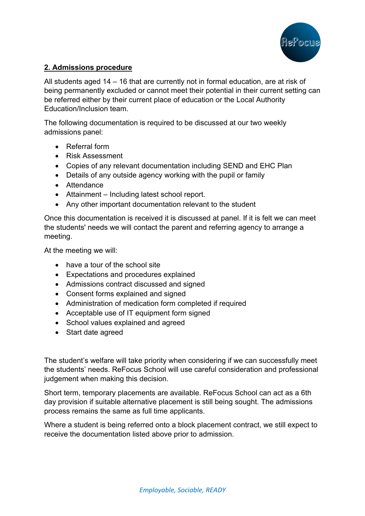

## **2. Admissions procedure**

All students aged 14 – 16 that are currently not in formal education, are at risk of being permanently excluded or cannot meet their potential in their current setting can be referred either by their current place of education or the Local Authority Education/Inclusion team.

The following documentation is required to be discussed at our two weekly admissions panel:

- Referral form
- Risk Assessment
- Copies of any relevant documentation including SEND and EHC Plan
- Details of any outside agency working with the pupil or family
- Attendance
- Attainment Including latest school report.
- Any other important documentation relevant to the student

Once this documentation is received it is discussed at panel. If it is felt we can meet the students' needs we will contact the parent and referring agency to arrange a meeting.

At the meeting we will:

- have a tour of the school site
- Expectations and procedures explained
- Admissions contract discussed and signed
- Consent forms explained and signed
- Administration of medication form completed if required
- Acceptable use of IT equipment form signed
- School values explained and agreed
- Start date agreed

The student's welfare will take priority when considering if we can successfully meet the students' needs. ReFocus School will use careful consideration and professional judgement when making this decision.

Short term, temporary placements are available. ReFocus School can act as a 6th day provision if suitable alternative placement is still being sought. The admissions process remains the same as full time applicants.

Where a student is being referred onto a block placement contract, we still expect to receive the documentation listed above prior to admission.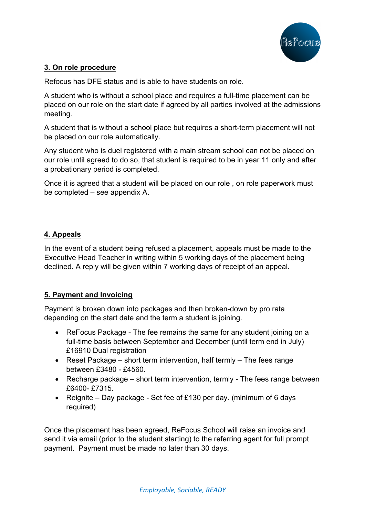

## **3. On role procedure**

Refocus has DFE status and is able to have students on role.

A student who is without a school place and requires a full-time placement can be placed on our role on the start date if agreed by all parties involved at the admissions meeting.

A student that is without a school place but requires a short-term placement will not be placed on our role automatically.

Any student who is duel registered with a main stream school can not be placed on our role until agreed to do so, that student is required to be in year 11 only and after a probationary period is completed.

Once it is agreed that a student will be placed on our role , on role paperwork must be completed – see appendix A.

### **4. Appeals**

In the event of a student being refused a placement, appeals must be made to the Executive Head Teacher in writing within 5 working days of the placement being declined. A reply will be given within 7 working days of receipt of an appeal.

#### **5. Payment and Invoicing**

Payment is broken down into packages and then broken-down by pro rata depending on the start date and the term a student is joining.

- ReFocus Package The fee remains the same for any student joining on a full-time basis between September and December (until term end in July) £16910 Dual registration
- Reset Package short term intervention, half termly The fees range between £3480 - £4560.
- Recharge package short term intervention, termly The fees range between £6400- £7315.
- Reignite Day package Set fee of £130 per day. (minimum of 6 days required)

Once the placement has been agreed, ReFocus School will raise an invoice and send it via email (prior to the student starting) to the referring agent for full prompt payment. Payment must be made no later than 30 days.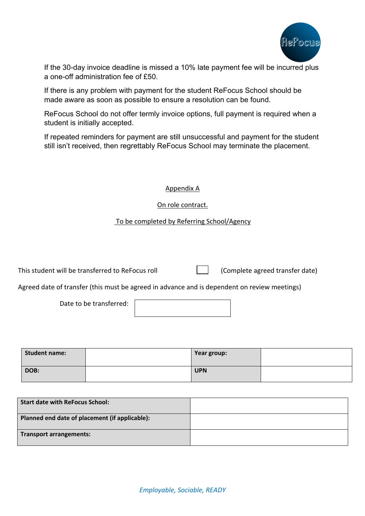

If the 30-day invoice deadline is missed a 10% late payment fee will be incurred plus a one-off administration fee of £50.

If there is any problem with payment for the student ReFocus School should be made aware as soon as possible to ensure a resolution can be found.

ReFocus School do not offer termly invoice options, full payment is required when a student is initially accepted.

If repeated reminders for payment are still unsuccessful and payment for the student still isn't received, then regrettably ReFocus School may terminate the placement.

#### Appendix A

On role contract.

To be completed by Referring School/Agency

This student will be transferred to ReFocus roll [100] (Complete agreed transfer date)

Agreed date of transfer (this must be agreed in advance and is dependent on review meetings)

Date to be transferred:

| <b>Student name:</b> | Year group: |  |
|----------------------|-------------|--|
| DOB:                 | <b>UPN</b>  |  |

| <b>Start date with ReFocus School:</b>         |  |
|------------------------------------------------|--|
| Planned end date of placement (if applicable): |  |
| <b>Transport arrangements:</b>                 |  |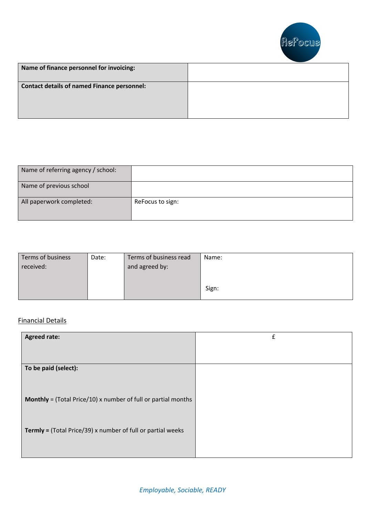

| Name of finance personnel for invoicing:           |  |
|----------------------------------------------------|--|
| <b>Contact details of named Finance personnel:</b> |  |

| Name of referring agency / school: |                  |
|------------------------------------|------------------|
| Name of previous school            |                  |
| All paperwork completed:           | ReFocus to sign: |

| Terms of business<br>received: | Date: | Terms of business read<br>and agreed by: | Name: |
|--------------------------------|-------|------------------------------------------|-------|
|                                |       |                                          | Sign: |

# Financial Details

| £ |
|---|
|   |
|   |
|   |
|   |